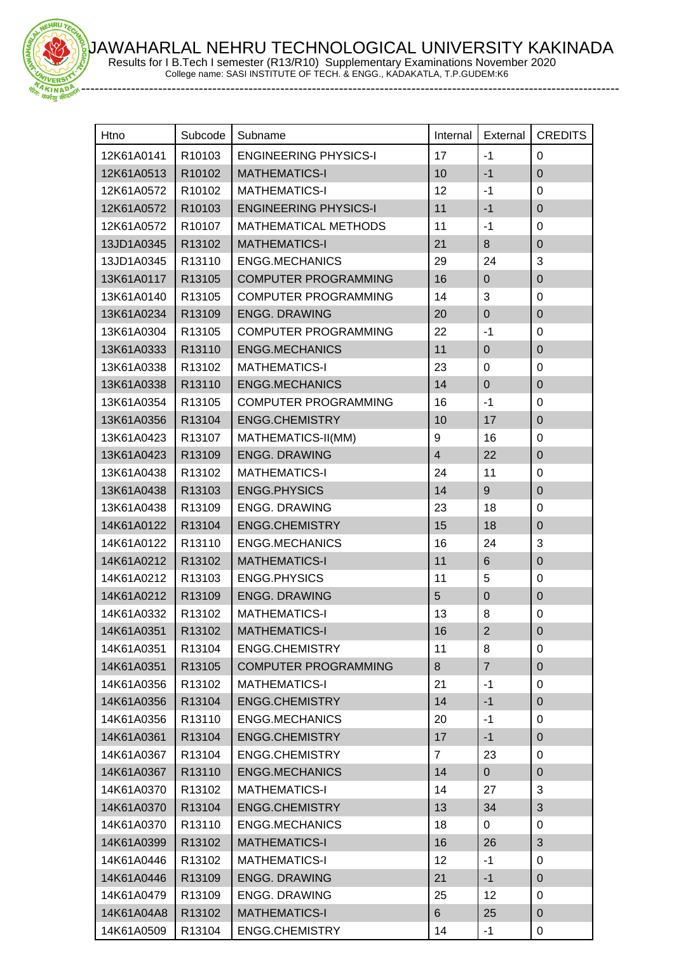JAWAHARLAL NEHRU TECHNOLOGICAL UNIVERSITY KAKINADA Results for I B.Tech I semester (R13/R10) Supplementary Examinations November 2020



College name: SASI INSTITUTE OF TECH. & ENGG., KADAKATLA, T.P.GUDEM:K6

| Htno       | Subcode | Subname                      | Internal       | External       | <b>CREDITS</b>   |
|------------|---------|------------------------------|----------------|----------------|------------------|
| 12K61A0141 | R10103  | <b>ENGINEERING PHYSICS-I</b> | 17             | $-1$           | 0                |
| 12K61A0513 | R10102  | <b>MATHEMATICS-I</b>         | 10             | $-1$           | $\overline{0}$   |
| 12K61A0572 | R10102  | <b>MATHEMATICS-I</b>         | 12             | $-1$           | $\mathbf 0$      |
| 12K61A0572 | R10103  | <b>ENGINEERING PHYSICS-I</b> | 11             | $-1$           | $\mathbf 0$      |
| 12K61A0572 | R10107  | <b>MATHEMATICAL METHODS</b>  | 11             | $-1$           | $\pmb{0}$        |
| 13JD1A0345 | R13102  | <b>MATHEMATICS-I</b>         | 21             | $\bf 8$        | $\boldsymbol{0}$ |
| 13JD1A0345 | R13110  | <b>ENGG.MECHANICS</b>        | 29             | 24             | 3                |
| 13K61A0117 | R13105  | <b>COMPUTER PROGRAMMING</b>  | 16             | $\mathbf 0$    | $\boldsymbol{0}$ |
| 13K61A0140 | R13105  | <b>COMPUTER PROGRAMMING</b>  | 14             | $\mathbf{3}$   | $\boldsymbol{0}$ |
| 13K61A0234 | R13109  | <b>ENGG. DRAWING</b>         | 20             | $\pmb{0}$      | $\pmb{0}$        |
| 13K61A0304 | R13105  | <b>COMPUTER PROGRAMMING</b>  | 22             | $-1$           | $\mathbf 0$      |
| 13K61A0333 | R13110  | <b>ENGG.MECHANICS</b>        | 11             | $\pmb{0}$      | $\mathbf 0$      |
| 13K61A0338 | R13102  | <b>MATHEMATICS-I</b>         | 23             | 0              | $\boldsymbol{0}$ |
| 13K61A0338 | R13110  | <b>ENGG.MECHANICS</b>        | 14             | $\pmb{0}$      | $\mathbf 0$      |
| 13K61A0354 | R13105  | <b>COMPUTER PROGRAMMING</b>  | 16             | $-1$           | $\mathbf 0$      |
| 13K61A0356 | R13104  | <b>ENGG.CHEMISTRY</b>        | 10             | 17             | $\boldsymbol{0}$ |
| 13K61A0423 | R13107  | MATHEMATICS-II(MM)           | 9              | 16             | $\mathbf 0$      |
| 13K61A0423 | R13109  | <b>ENGG. DRAWING</b>         | $\overline{4}$ | 22             | $\boldsymbol{0}$ |
| 13K61A0438 | R13102  | <b>MATHEMATICS-I</b>         | 24             | 11             | $\boldsymbol{0}$ |
| 13K61A0438 | R13103  | <b>ENGG.PHYSICS</b>          | 14             | 9              | $\boldsymbol{0}$ |
| 13K61A0438 | R13109  | <b>ENGG. DRAWING</b>         | 23             | 18             | $\boldsymbol{0}$ |
| 14K61A0122 | R13104  | <b>ENGG.CHEMISTRY</b>        | 15             | 18             | $\mathbf 0$      |
| 14K61A0122 | R13110  | <b>ENGG.MECHANICS</b>        | 16             | 24             | 3                |
| 14K61A0212 | R13102  | <b>MATHEMATICS-I</b>         | 11             | $\,6\,$        | $\overline{0}$   |
| 14K61A0212 | R13103  | <b>ENGG.PHYSICS</b>          | 11             | 5              | $\boldsymbol{0}$ |
| 14K61A0212 | R13109  | <b>ENGG. DRAWING</b>         | 5              | $\pmb{0}$      | $\boldsymbol{0}$ |
| 14K61A0332 | R13102  | <b>MATHEMATICS-I</b>         | 13             | 8              | $\mathbf 0$      |
| 14K61A0351 | R13102  | <b>MATHEMATICS-I</b>         | 16             | 2              | $\mathbf 0$      |
| 14K61A0351 | R13104  | <b>ENGG.CHEMISTRY</b>        | 11             | 8              | 0                |
| 14K61A0351 | R13105  | <b>COMPUTER PROGRAMMING</b>  | 8              | $\overline{7}$ | $\pmb{0}$        |
| 14K61A0356 | R13102  | <b>MATHEMATICS-I</b>         | 21             | $-1$           | 0                |
| 14K61A0356 | R13104  | ENGG.CHEMISTRY               | 14             | $-1$           | $\pmb{0}$        |
| 14K61A0356 | R13110  | <b>ENGG.MECHANICS</b>        | 20             | $-1$           | 0                |
| 14K61A0361 | R13104  | <b>ENGG.CHEMISTRY</b>        | 17             | $-1$           | $\pmb{0}$        |
| 14K61A0367 | R13104  | <b>ENGG.CHEMISTRY</b>        | $\overline{7}$ | 23             | 0                |
| 14K61A0367 | R13110  | <b>ENGG.MECHANICS</b>        | 14             | $\mathbf 0$    | $\mathbf 0$      |
| 14K61A0370 | R13102  | <b>MATHEMATICS-I</b>         | 14             | 27             | 3                |
| 14K61A0370 | R13104  | <b>ENGG.CHEMISTRY</b>        | 13             | 34             | 3                |
| 14K61A0370 | R13110  | <b>ENGG.MECHANICS</b>        | 18             | 0              | 0                |
| 14K61A0399 | R13102  | <b>MATHEMATICS-I</b>         | 16             | 26             | 3                |
| 14K61A0446 | R13102  | <b>MATHEMATICS-I</b>         | 12             | $-1$           | $\mathbf 0$      |
| 14K61A0446 | R13109  | <b>ENGG. DRAWING</b>         | 21             | $-1$           | $\pmb{0}$        |
| 14K61A0479 | R13109  | <b>ENGG. DRAWING</b>         | 25             | 12             | 0                |
| 14K61A04A8 | R13102  | <b>MATHEMATICS-I</b>         | 6              | 25             | $\pmb{0}$        |
| 14K61A0509 | R13104  | ENGG.CHEMISTRY               | 14             | $-1$           | $\pmb{0}$        |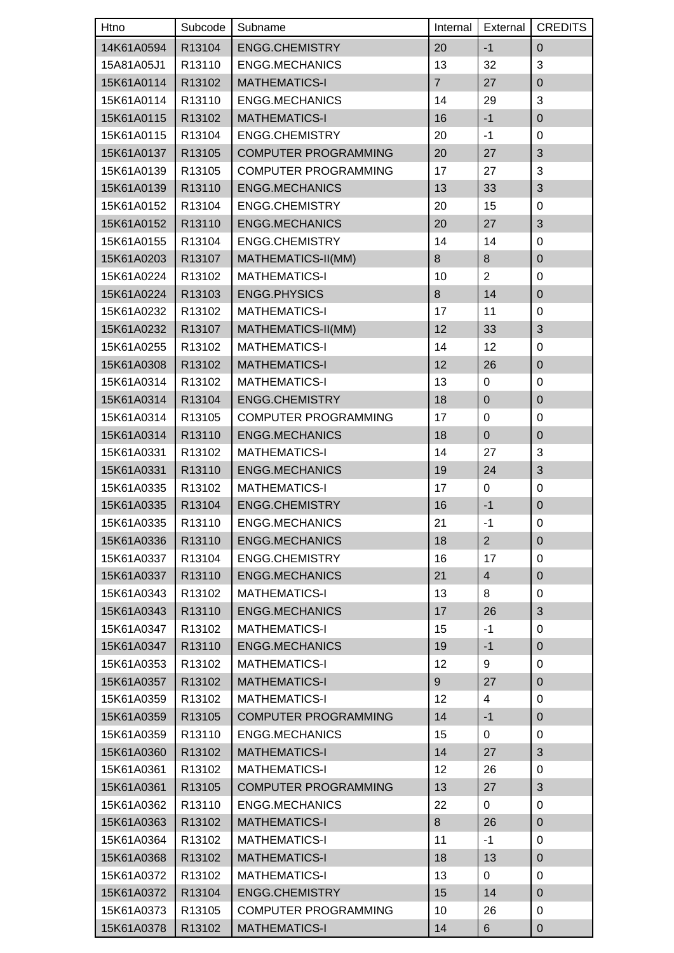| Htno       | Subcode | Subname                     | Internal       | External       | <b>CREDITS</b>   |
|------------|---------|-----------------------------|----------------|----------------|------------------|
| 14K61A0594 | R13104  | <b>ENGG.CHEMISTRY</b>       | 20             | $-1$           | $\mathbf 0$      |
| 15A81A05J1 | R13110  | <b>ENGG.MECHANICS</b>       | 13             | 32             | $\mathfrak{S}$   |
| 15K61A0114 | R13102  | <b>MATHEMATICS-I</b>        | $\overline{7}$ | 27             | $\mathbf 0$      |
| 15K61A0114 | R13110  | <b>ENGG.MECHANICS</b>       | 14             | 29             | $\mathfrak{S}$   |
| 15K61A0115 | R13102  | <b>MATHEMATICS-I</b>        | 16             | $-1$           | $\mathbf 0$      |
| 15K61A0115 | R13104  | <b>ENGG.CHEMISTRY</b>       | 20             | $-1$           | $\mathbf 0$      |
| 15K61A0137 | R13105  | <b>COMPUTER PROGRAMMING</b> | 20             | 27             | 3                |
| 15K61A0139 | R13105  | <b>COMPUTER PROGRAMMING</b> | 17             | 27             | 3                |
| 15K61A0139 | R13110  | <b>ENGG.MECHANICS</b>       | 13             | 33             | $\sqrt{3}$       |
| 15K61A0152 | R13104  | ENGG.CHEMISTRY              | 20             | 15             | $\mathbf 0$      |
| 15K61A0152 | R13110  | <b>ENGG.MECHANICS</b>       | 20             | 27             | 3                |
| 15K61A0155 | R13104  | <b>ENGG.CHEMISTRY</b>       | 14             | 14             | $\mathbf 0$      |
| 15K61A0203 | R13107  | MATHEMATICS-II(MM)          | 8              | 8              | $\boldsymbol{0}$ |
| 15K61A0224 | R13102  | <b>MATHEMATICS-I</b>        | 10             | $\overline{2}$ | $\mathbf 0$      |
| 15K61A0224 | R13103  | <b>ENGG.PHYSICS</b>         | 8              | 14             | $\overline{0}$   |
| 15K61A0232 | R13102  | <b>MATHEMATICS-I</b>        | 17             | 11             | $\mathbf 0$      |
| 15K61A0232 | R13107  | MATHEMATICS-II(MM)          | 12             | 33             | 3                |
| 15K61A0255 | R13102  | <b>MATHEMATICS-I</b>        | 14             | 12             | $\mathbf 0$      |
| 15K61A0308 | R13102  | <b>MATHEMATICS-I</b>        | 12             | 26             | $\mathbf 0$      |
| 15K61A0314 | R13102  | <b>MATHEMATICS-I</b>        | 13             | $\mathbf 0$    | $\mathbf 0$      |
| 15K61A0314 | R13104  | <b>ENGG.CHEMISTRY</b>       | 18             | $\pmb{0}$      | $\mathbf 0$      |
| 15K61A0314 | R13105  | <b>COMPUTER PROGRAMMING</b> | 17             | $\pmb{0}$      | $\mathbf 0$      |
| 15K61A0314 | R13110  | <b>ENGG.MECHANICS</b>       | 18             | $\pmb{0}$      | $\boldsymbol{0}$ |
| 15K61A0331 | R13102  | <b>MATHEMATICS-I</b>        | 14             | 27             | 3                |
| 15K61A0331 | R13110  | <b>ENGG.MECHANICS</b>       | 19             | 24             | 3                |
| 15K61A0335 | R13102  | <b>MATHEMATICS-I</b>        | 17             | 0              | $\mathbf 0$      |
| 15K61A0335 | R13104  | <b>ENGG.CHEMISTRY</b>       | 16             | $-1$           | $\overline{0}$   |
| 15K61A0335 | R13110  | ENGG.MECHANICS              | 21             | -1             | $\Omega$         |
| 15K61A0336 | R13110  | <b>ENGG.MECHANICS</b>       | 18             | $\overline{2}$ | $\overline{0}$   |
| 15K61A0337 | R13104  | ENGG.CHEMISTRY              | 16             | 17             | 0                |
| 15K61A0337 | R13110  | <b>ENGG.MECHANICS</b>       | 21             | $\overline{4}$ | $\boldsymbol{0}$ |
| 15K61A0343 | R13102  | <b>MATHEMATICS-I</b>        | 13             | 8              | $\mathbf 0$      |
| 15K61A0343 | R13110  | <b>ENGG.MECHANICS</b>       | 17             | 26             | $\sqrt{3}$       |
| 15K61A0347 | R13102  | <b>MATHEMATICS-I</b>        | 15             | $-1$           | 0                |
| 15K61A0347 | R13110  | <b>ENGG.MECHANICS</b>       | 19             | $-1$           | $\boldsymbol{0}$ |
| 15K61A0353 | R13102  | <b>MATHEMATICS-I</b>        | 12             | 9              | $\mathbf 0$      |
| 15K61A0357 | R13102  | <b>MATHEMATICS-I</b>        | 9              | 27             | $\boldsymbol{0}$ |
| 15K61A0359 | R13102  | <b>MATHEMATICS-I</b>        | 12             | 4              | $\mathbf 0$      |
| 15K61A0359 | R13105  | <b>COMPUTER PROGRAMMING</b> | 14             | $-1$           | $\boldsymbol{0}$ |
| 15K61A0359 | R13110  | <b>ENGG.MECHANICS</b>       | 15             | 0              | $\mathbf 0$      |
| 15K61A0360 | R13102  | <b>MATHEMATICS-I</b>        | 14             | 27             | $\sqrt{3}$       |
| 15K61A0361 | R13102  | <b>MATHEMATICS-I</b>        | 12             | 26             | $\mathbf 0$      |
| 15K61A0361 | R13105  | <b>COMPUTER PROGRAMMING</b> | 13             | 27             | 3                |
| 15K61A0362 | R13110  | ENGG.MECHANICS              | 22             | 0              | 0                |
| 15K61A0363 | R13102  | <b>MATHEMATICS-I</b>        | 8              | 26             | $\boldsymbol{0}$ |
| 15K61A0364 | R13102  | <b>MATHEMATICS-I</b>        | 11             | $-1$           | 0                |
| 15K61A0368 | R13102  | <b>MATHEMATICS-I</b>        | 18             | 13             | $\mathbf 0$      |
| 15K61A0372 | R13102  | <b>MATHEMATICS-I</b>        | 13             | 0              | 0                |
| 15K61A0372 | R13104  | ENGG.CHEMISTRY              | 15             | 14             | $\pmb{0}$        |
| 15K61A0373 | R13105  | <b>COMPUTER PROGRAMMING</b> | 10             | 26             | $\mathbf 0$      |
| 15K61A0378 | R13102  | <b>MATHEMATICS-I</b>        | 14             | 6              | $\mathbf 0$      |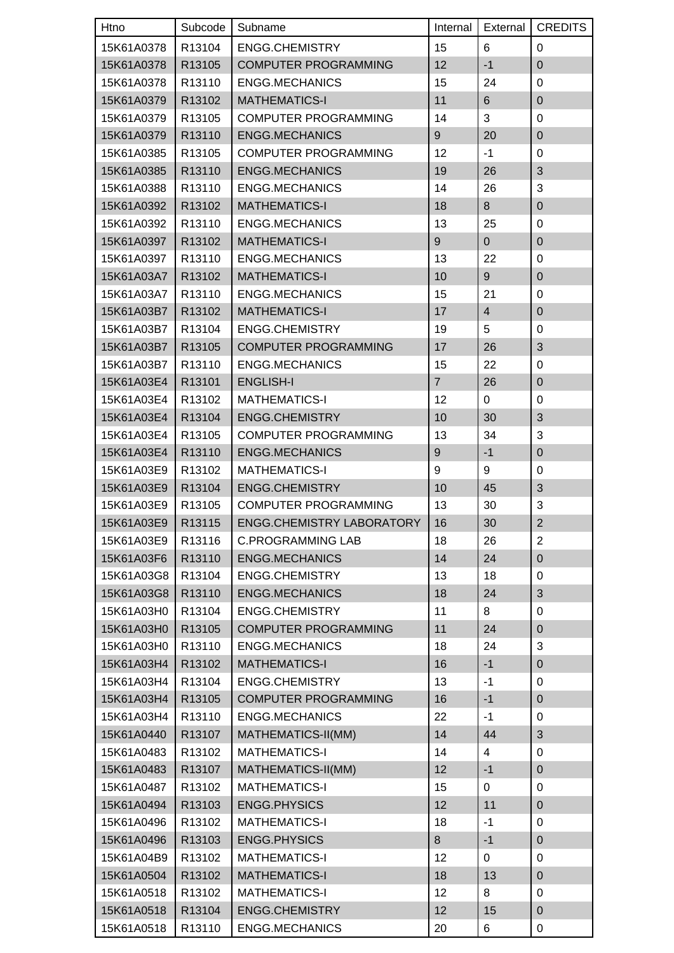| Htno       | Subcode | Subname                          | Internal         | External       | <b>CREDITS</b>            |
|------------|---------|----------------------------------|------------------|----------------|---------------------------|
| 15K61A0378 | R13104  | <b>ENGG.CHEMISTRY</b>            | 15               | 6              | $\mathbf 0$               |
| 15K61A0378 | R13105  | <b>COMPUTER PROGRAMMING</b>      | 12               | $-1$           | $\mathbf 0$               |
| 15K61A0378 | R13110  | <b>ENGG.MECHANICS</b>            | 15               | 24             | $\mathbf 0$               |
| 15K61A0379 | R13102  | <b>MATHEMATICS-I</b>             | 11               | $\,6$          | $\boldsymbol{0}$          |
| 15K61A0379 | R13105  | <b>COMPUTER PROGRAMMING</b>      | 14               | 3              | $\boldsymbol{0}$          |
| 15K61A0379 | R13110  | <b>ENGG.MECHANICS</b>            | 9                | 20             | $\boldsymbol{0}$          |
| 15K61A0385 | R13105  | <b>COMPUTER PROGRAMMING</b>      | 12               | $-1$           | $\boldsymbol{0}$          |
| 15K61A0385 | R13110  | <b>ENGG.MECHANICS</b>            | 19               | 26             | 3                         |
| 15K61A0388 | R13110  | <b>ENGG.MECHANICS</b>            | 14               | 26             | $\ensuremath{\mathsf{3}}$ |
| 15K61A0392 | R13102  | <b>MATHEMATICS-I</b>             | 18               | 8              | $\mathbf 0$               |
| 15K61A0392 | R13110  | <b>ENGG.MECHANICS</b>            | 13               | 25             | $\mathbf 0$               |
| 15K61A0397 | R13102  | <b>MATHEMATICS-I</b>             | 9                | $\mathbf 0$    | $\overline{0}$            |
| 15K61A0397 | R13110  | <b>ENGG.MECHANICS</b>            | 13               | 22             | $\mathbf 0$               |
| 15K61A03A7 | R13102  | <b>MATHEMATICS-I</b>             | 10               | $9\,$          | $\boldsymbol{0}$          |
| 15K61A03A7 | R13110  | <b>ENGG.MECHANICS</b>            | 15               | 21             | $\mathbf 0$               |
| 15K61A03B7 | R13102  | <b>MATHEMATICS-I</b>             | 17               | $\overline{4}$ | $\boldsymbol{0}$          |
| 15K61A03B7 | R13104  | ENGG.CHEMISTRY                   | 19               | 5              | $\boldsymbol{0}$          |
| 15K61A03B7 | R13105  | <b>COMPUTER PROGRAMMING</b>      | 17               | 26             | $\mathfrak{B}$            |
| 15K61A03B7 | R13110  | <b>ENGG.MECHANICS</b>            | 15               | 22             | 0                         |
| 15K61A03E4 | R13101  | <b>ENGLISH-I</b>                 | $\overline{7}$   | 26             | $\overline{0}$            |
| 15K61A03E4 | R13102  | <b>MATHEMATICS-I</b>             | 12               | 0              | $\pmb{0}$                 |
| 15K61A03E4 | R13104  | <b>ENGG.CHEMISTRY</b>            | 10               | 30             | 3                         |
| 15K61A03E4 | R13105  | <b>COMPUTER PROGRAMMING</b>      | 13               | 34             | 3                         |
| 15K61A03E4 | R13110  | <b>ENGG.MECHANICS</b>            | $\boldsymbol{9}$ | $-1$           | $\boldsymbol{0}$          |
| 15K61A03E9 | R13102  | <b>MATHEMATICS-I</b>             | $\boldsymbol{9}$ | 9              | $\mathbf 0$               |
| 15K61A03E9 | R13104  | <b>ENGG.CHEMISTRY</b>            | 10               | 45             | $\sqrt{3}$                |
| 15K61A03E9 | R13105  | <b>COMPUTER PROGRAMMING</b>      | 13               | 30             | 3                         |
| 15K61A03E9 | R13115  | <b>ENGG.CHEMISTRY LABORATORY</b> | 16               | 30             | $\overline{2}$            |
| 15K61A03E9 | R13116  | <b>C.PROGRAMMING LAB</b>         | 18               | 26             | $\overline{2}$            |
| 15K61A03F6 | R13110  | <b>ENGG.MECHANICS</b>            | 14               | 24             | $\pmb{0}$                 |
| 15K61A03G8 | R13104  | <b>ENGG.CHEMISTRY</b>            | 13               | 18             | $\boldsymbol{0}$          |
| 15K61A03G8 | R13110  | <b>ENGG.MECHANICS</b>            | 18               | 24             | 3                         |
| 15K61A03H0 | R13104  | <b>ENGG.CHEMISTRY</b>            | 11               | 8              | $\mathbf 0$               |
| 15K61A03H0 | R13105  | <b>COMPUTER PROGRAMMING</b>      | 11               | 24             | $\boldsymbol{0}$          |
| 15K61A03H0 | R13110  | <b>ENGG.MECHANICS</b>            | 18               | 24             | 3                         |
| 15K61A03H4 | R13102  | <b>MATHEMATICS-I</b>             | 16               | $-1$           | $\boldsymbol{0}$          |
| 15K61A03H4 | R13104  | <b>ENGG.CHEMISTRY</b>            | 13               | $-1$           | $\boldsymbol{0}$          |
| 15K61A03H4 | R13105  | <b>COMPUTER PROGRAMMING</b>      | 16               | $-1$           | $\pmb{0}$                 |
| 15K61A03H4 | R13110  | <b>ENGG.MECHANICS</b>            | 22               | $-1$           | $\boldsymbol{0}$          |
| 15K61A0440 | R13107  | MATHEMATICS-II(MM)               | 14               | 44             | $\mathfrak{B}$            |
| 15K61A0483 | R13102  | <b>MATHEMATICS-I</b>             | 14               | 4              | $\mathbf 0$               |
| 15K61A0483 | R13107  | MATHEMATICS-II(MM)               | 12               | $-1$           | $\pmb{0}$                 |
| 15K61A0487 | R13102  | <b>MATHEMATICS-I</b>             | 15               | 0              | $\boldsymbol{0}$          |
| 15K61A0494 | R13103  | ENGG.PHYSICS                     | 12               | 11             | $\boldsymbol{0}$          |
| 15K61A0496 | R13102  | <b>MATHEMATICS-I</b>             | 18               | $-1$           | $\mathbf 0$               |
| 15K61A0496 | R13103  | <b>ENGG.PHYSICS</b>              | 8                | $-1$           | $\boldsymbol{0}$          |
| 15K61A04B9 | R13102  | <b>MATHEMATICS-I</b>             | 12               | 0              | $\boldsymbol{0}$          |
| 15K61A0504 | R13102  | <b>MATHEMATICS-I</b>             | 18               | 13             | $\pmb{0}$                 |
| 15K61A0518 | R13102  | <b>MATHEMATICS-I</b>             | 12               | 8              | $\mathbf 0$               |
| 15K61A0518 | R13104  | <b>ENGG.CHEMISTRY</b>            | 12               | 15             | $\pmb{0}$                 |
| 15K61A0518 | R13110  | <b>ENGG.MECHANICS</b>            | 20               | 6              | $\pmb{0}$                 |